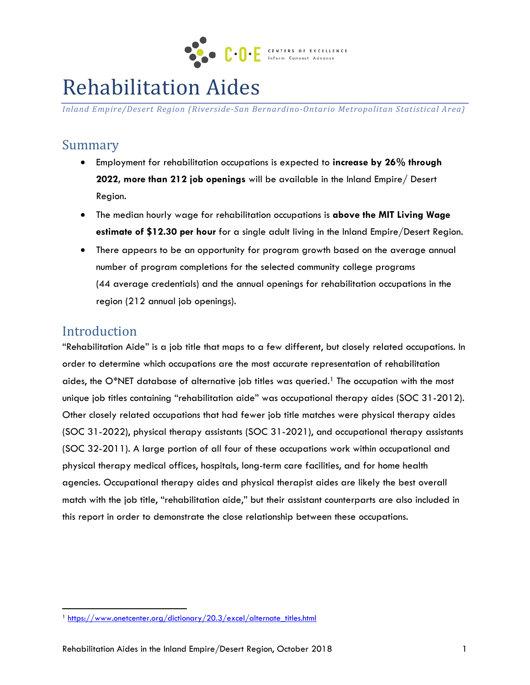

# Rehabilitation Aides

*Inland Empire/Desert Region (Riverside-San Bernardino-Ontario Metropolitan Statistical Area)*

# Summary

- Employment for rehabilitation occupations is expected to **increase by 26% through 2022, more than 212 job openings** will be available in the Inland Empire/ Desert Region.
- The median hourly wage for rehabilitation occupations is **above the MIT Living Wage estimate of \$12.30 per hour** for a single adult living in the Inland Empire/Desert Region.
- There appears to be an opportunity for program growth based on the average annual number of program completions for the selected community college programs (44 average credentials) and the annual openings for rehabilitation occupations in the region (212 annual job openings).

## Introduction

 $\overline{\phantom{a}}$ 

"Rehabilitation Aide" is a job title that maps to a few different, but closely related occupations. In order to determine which occupations are the most accurate representation of rehabilitation aides, the O\*NET database of alternative job titles was queried. <sup>1</sup> The occupation with the most unique job titles containing "rehabilitation aide" was occupational therapy aides (SOC 31-2012). Other closely related occupations that had fewer job title matches were physical therapy aides (SOC 31-2022), physical therapy assistants (SOC 31-2021), and occupational therapy assistants (SOC 32-2011). A large portion of all four of these occupations work within occupational and physical therapy medical offices, hospitals, long-term care facilities, and for home health agencies. Occupational therapy aides and physical therapist aides are likely the best overall match with the job title, "rehabilitation aide," but their assistant counterparts are also included in this report in order to demonstrate the close relationship between these occupations.

<sup>&</sup>lt;sup>1</sup> [https://www.onetcenter.org/dictionary/20.3/excel/alternate\\_titles.html](https://www.onetcenter.org/dictionary/20.3/excel/alternate_titles.html)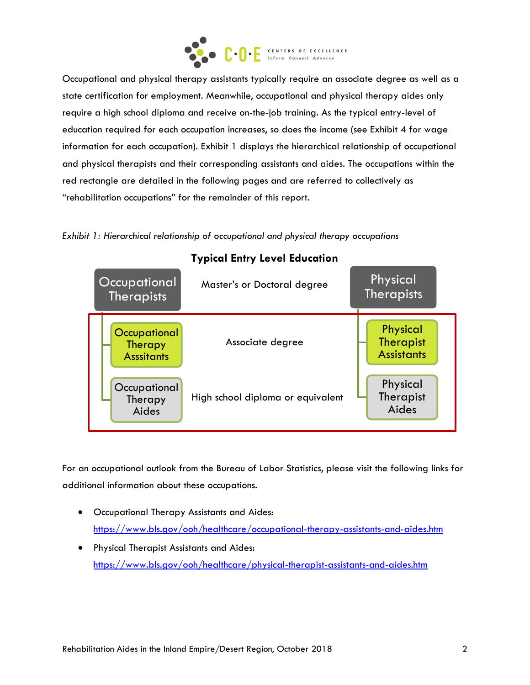

Occupational and physical therapy assistants typically require an associate degree as well as a state certification for employment. Meanwhile, occupational and physical therapy aides only require a high school diploma and receive on-the-job training. As the typical entry-level of education required for each occupation increases, so does the income (see Exhibit 4 for wage information for each occupation). Exhibit 1 displays the hierarchical relationship of occupational and physical therapists and their corresponding assistants and aides. The occupations within the red rectangle are detailed in the following pages and are referred to collectively as "rehabilitation occupations" for the remainder of this report.

**Occupational Therapists Occupational Therapy Asssitants Occupational Therapy** Aides Physical Therapists **Physical Therapist Assistants** Physical **Therapist** Aides **Typical Entry Level Education** High school diploma or equivalent Master's or Doctoral degree Associate degree

*Exhibit 1: Hierarchical relationship of occupational and physical therapy occupations* 

For an occupational outlook from the Bureau of Labor Statistics, please visit the following links for additional information about these occupations.

- Occupational Therapy Assistants and Aides: <https://www.bls.gov/ooh/healthcare/occupational-therapy-assistants-and-aides.htm>
- Physical Therapist Assistants and Aides: <https://www.bls.gov/ooh/healthcare/physical-therapist-assistants-and-aides.htm>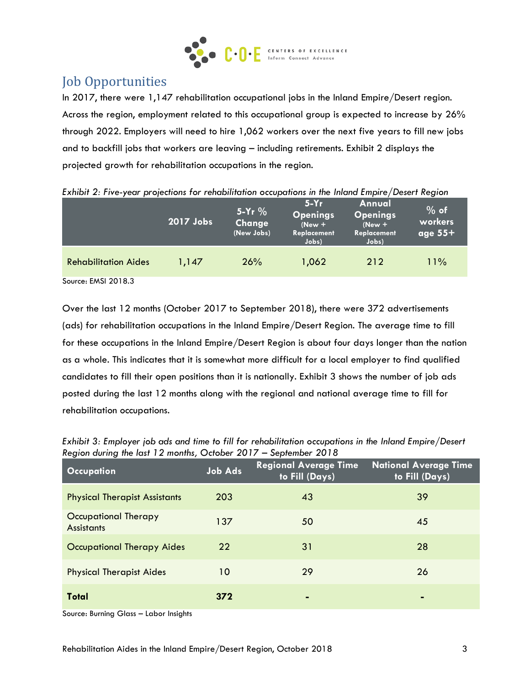

# Job Opportunities

In 2017, there were 1,147 rehabilitation occupational jobs in the Inland Empire/Desert region. Across the region, employment related to this occupational group is expected to increase by 26% through 2022. Employers will need to hire 1,062 workers over the next five years to fill new jobs and to backfill jobs that workers are leaving – including retirements. Exhibit 2 displays the projected growth for rehabilitation occupations in the region.

| Extribit E. The year projections for rendbilitation occupations in the middle Empire/ Desert Region | 2017 Jobs | $5-Yr$ %<br>Change<br>(New Jobs) | $5-Yr$<br><b>Openings</b><br>$(New +$<br>Replacement<br>Jobs) | Annual<br><b>Openings</b><br>$(New +$<br>Replacement<br>Jobs) | $%$ of<br>workers<br>age $55+$ |
|-----------------------------------------------------------------------------------------------------|-----------|----------------------------------|---------------------------------------------------------------|---------------------------------------------------------------|--------------------------------|
| <b>Rehabilitation Aides</b>                                                                         | 1,147     | 26%                              | 1,062                                                         | 212                                                           | 11%                            |
| Source: EMSI 2018.3                                                                                 |           |                                  |                                                               |                                                               |                                |

*Exhibit 2: Five-year projections for rehabilitation occupations in the Inland Empire/Desert Region*

Over the last 12 months (October 2017 to September 2018), there were 372 advertisements (ads) for rehabilitation occupations in the Inland Empire/Desert Region. The average time to fill for these occupations in the Inland Empire/Desert Region is about four days longer than the nation as a whole. This indicates that it is somewhat more difficult for a local employer to find qualified candidates to fill their open positions than it is nationally. Exhibit 3 shows the number of job ads posted during the last 12 months along with the regional and national average time to fill for rehabilitation occupations.

| <b>Occupation</b>                         | <b>Job Ads</b> | <b>Regional Average Time</b><br>to Fill (Days) | <b>National Average Time</b><br>to Fill (Days) |
|-------------------------------------------|----------------|------------------------------------------------|------------------------------------------------|
| <b>Physical Therapist Assistants</b>      | 203            | 43                                             | 39                                             |
| Occupational Therapy<br><b>Assistants</b> | 137            | 50                                             | 45                                             |
| Occupational Therapy Aides                | 22             | 31                                             | 28                                             |
| <b>Physical Therapist Aides</b>           | 10             | 29                                             | 26                                             |
| Total                                     | 372            | ٠                                              | $\blacksquare$                                 |

*Exhibit 3: Employer job ads and time to fill for rehabilitation occupations in the Inland Empire/Desert Region during the last 12 months, October 2017 – September 2018*

Source: Burning Glass – Labor Insights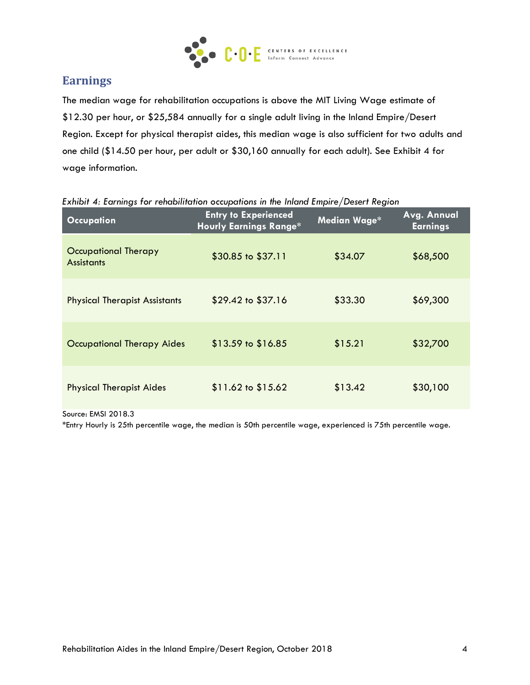

## **Earnings**

The median wage for rehabilitation occupations is above the MIT Living Wage estimate of \$12.30 per hour, or \$25,584 annually for a single adult living in the Inland Empire/Desert Region. Except for physical therapist aides, this median wage is also sufficient for two adults and one child (\$14.50 per hour, per adult or \$30,160 annually for each adult). See Exhibit 4 for wage information.

| <b>Occupation</b>                         | <b>Entry to Experienced</b><br><b>Hourly Earnings Range*</b> | Median Wage* | Avg. Annual<br><b>Earnings</b> |
|-------------------------------------------|--------------------------------------------------------------|--------------|--------------------------------|
| Occupational Therapy<br><b>Assistants</b> | \$30.85 to \$37.11                                           | \$34.07      | \$68,500                       |
| <b>Physical Therapist Assistants</b>      | \$29.42 to \$37.16                                           | \$33.30      | \$69,300                       |
| <b>Occupational Therapy Aides</b>         | $$13.59$ to $$16.85$                                         | \$15.21      | \$32,700                       |
| <b>Physical Therapist Aides</b>           | $$11.62$ to $$15.62$                                         | \$13.42      | \$30,100                       |

#### *Exhibit 4: Earnings for rehabilitation occupations in the Inland Empire/Desert Region*

Source: EMSI 2018.3

\*Entry Hourly is 25th percentile wage, the median is 50th percentile wage, experienced is 75th percentile wage.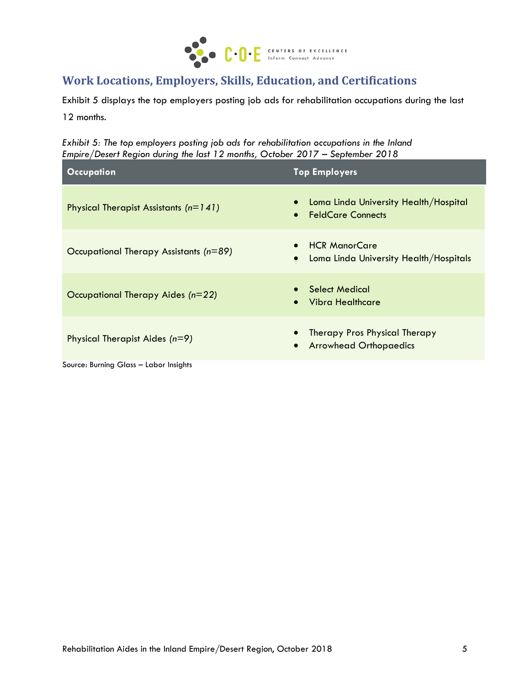

## **Work Locations, Employers, Skills, Education, and Certifications**

Exhibit 5 displays the top employers posting job ads for rehabilitation occupations during the last

12 months.

*Exhibit 5: The top employers posting job ads for rehabilitation occupations in the Inland Empire/Desert Region during the last 12 months, October 2017 – September 2018*

| <b>Occupation</b>                       | <b>Top Employers</b>                                                                     |
|-----------------------------------------|------------------------------------------------------------------------------------------|
| Physical Therapist Assistants $(n=141)$ | Loma Linda University Health/Hospital<br><b>FeldCare Connects</b><br>$\bullet$           |
| Occupational Therapy Assistants (n=89)  | <b>HCR ManorCare</b><br>$\bullet$<br>Loma Linda University Health/Hospitals<br>$\bullet$ |
| Occupational Therapy Aides (n=22)       | • Select Medical<br>Vibra Healthcare<br>$\bullet$                                        |
| Physical Therapist Aides (n=9)          | Therapy Pros Physical Therapy<br><b>Arrowhead Orthopaedics</b><br>$\bullet$              |
| Source: Burning Glass - Labor Insights  |                                                                                          |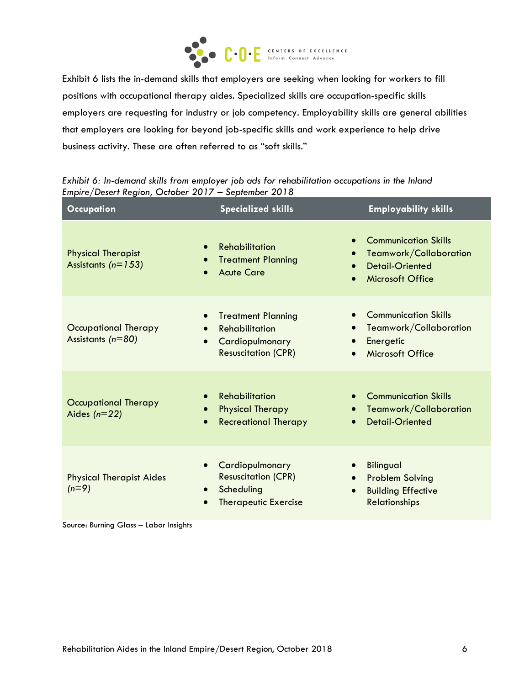

Exhibit 6 lists the in-demand skills that employers are seeking when looking for workers to fill positions with occupational therapy aides. Specialized skills are occupation-specific skills employers are requesting for industry or job competency. Employability skills are general abilities that employers are looking for beyond job-specific skills and work experience to help drive business activity. These are often referred to as "soft skills."

| <b>Occupation</b>                                                                    | <b>Specialized skills</b>                                                                                                     | <b>Employability skills</b>                                                                                |
|--------------------------------------------------------------------------------------|-------------------------------------------------------------------------------------------------------------------------------|------------------------------------------------------------------------------------------------------------|
| <b>Physical Therapist</b><br>Assistants $(n=153)$                                    | Rehabilitation<br>$\bullet$<br><b>Treatment Planning</b><br><b>Acute Care</b><br>$\bullet$                                    | <b>Communication Skills</b><br>Teamwork/Collaboration<br><b>Detail-Oriented</b><br><b>Microsoft Office</b> |
| $\bullet$<br>Occupational Therapy<br>$\bullet$<br>Assistants $(n=80)$<br>$\bullet$   | <b>Treatment Planning</b><br><b>Rehabilitation</b><br>$\bullet$<br>Cardiopulmonary<br><b>Resuscitation (CPR)</b><br>$\bullet$ | <b>Communication Skills</b><br>Teamwork/Collaboration<br>Energetic<br><b>Microsoft Office</b>              |
| $\bullet$<br><b>Occupational Therapy</b><br>$\bullet$<br>Aides $(n=22)$<br>$\bullet$ | <b>Rehabilitation</b><br>$\bullet$<br><b>Physical Therapy</b><br><b>Recreational Therapy</b><br>$\bullet$                     | <b>Communication Skills</b><br>Teamwork/Collaboration<br><b>Detail-Oriented</b>                            |
| $\bullet$<br><b>Physical Therapist Aides</b><br>$(n=9)$<br>$\bullet$                 | Cardiopulmonary<br><b>Resuscitation (CPR)</b><br>$\bullet$<br>Scheduling<br><b>Therapeutic Exercise</b>                       | <b>Bilingual</b><br><b>Problem Solving</b><br><b>Building Effective</b><br><b>Relationships</b>            |

*Exhibit 6: In-demand skills from employer job ads for rehabilitation occupations in the Inland Empire/Desert Region, October 2017 – September 2018*

Source: Burning Glass – Labor Insights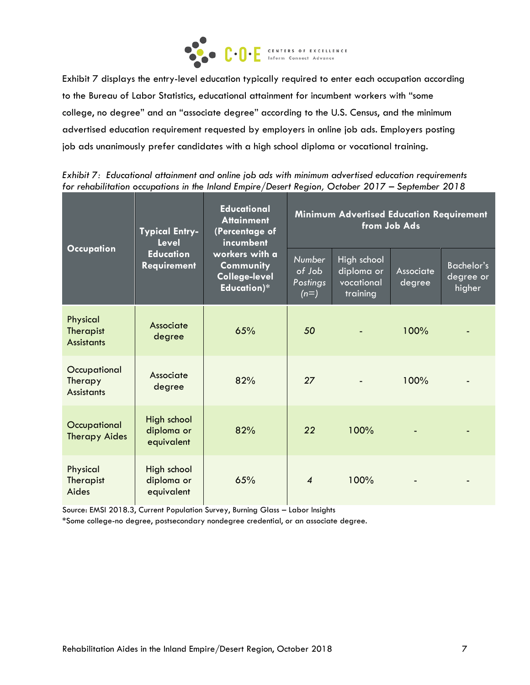

Exhibit 7 displays the entry-level education typically required to enter each occupation according to the Bureau of Labor Statistics, educational attainment for incumbent workers with "some college, no degree" and an "associate degree" according to the U.S. Census, and the minimum advertised education requirement requested by employers in online job ads. Employers posting job ads unanimously prefer candidates with a high school diploma or vocational training.

|                                                   | <b>Typical Entry-</b><br><b>Level</b>   | <b>Educational</b><br><b>Attainment</b><br>(Percentage of<br>incumbent | <b>Minimum Advertised Education Requirement</b><br>from Job Ads |                                                     |                            |                                          |  |
|---------------------------------------------------|-----------------------------------------|------------------------------------------------------------------------|-----------------------------------------------------------------|-----------------------------------------------------|----------------------------|------------------------------------------|--|
| <b>Occupation</b>                                 | <b>Education</b><br><b>Requirement</b>  | workers with a<br>Community<br><b>College-level</b><br>Education)*     | <b>Number</b><br>of Job<br>Postings<br>$(n=)$                   | High school<br>diploma or<br>vocational<br>training | <b>Associate</b><br>degree | <b>Bachelor's</b><br>degree or<br>higher |  |
| Physical<br><b>Therapist</b><br><b>Assistants</b> | Associate<br>degree                     | 65%                                                                    | 50                                                              |                                                     | 100%                       |                                          |  |
| Occupational<br>Therapy<br><b>Assistants</b>      | Associate<br>degree                     | 82%                                                                    | 27                                                              |                                                     | 100%                       |                                          |  |
| Occupational<br><b>Therapy Aides</b>              | High school<br>diploma or<br>equivalent | 82%                                                                    | 22                                                              | 100%                                                |                            |                                          |  |
| Physical<br>Therapist<br>Aides                    | High school<br>diploma or<br>equivalent | 65%                                                                    | $\boldsymbol{\mathcal{A}}$                                      | 100%                                                |                            |                                          |  |

*Exhibit 7: Educational attainment and online job ads with minimum advertised education requirements for rehabilitation occupations in the Inland Empire/Desert Region, October 2017 – September 2018*

Source: EMSI 2018.3, Current Population Survey, Burning Glass – Labor Insights

\*Some college-no degree, postsecondary nondegree credential, or an associate degree.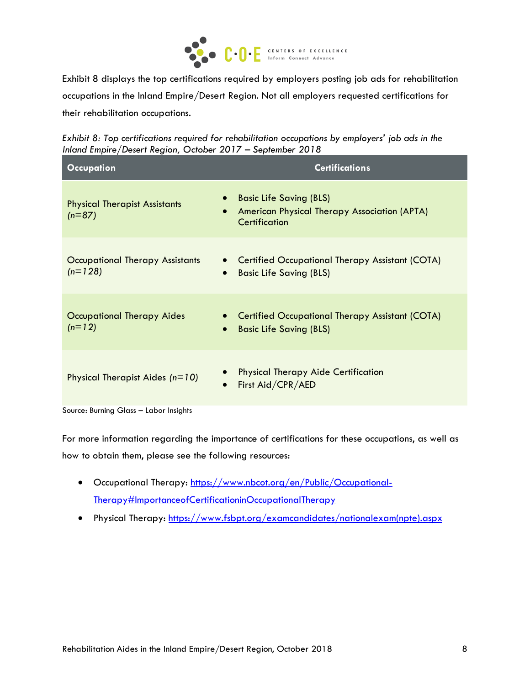

Exhibit 8 displays the top certifications required by employers posting job ads for rehabilitation occupations in the Inland Empire/Desert Region. Not all employers requested certifications for their rehabilitation occupations.

*Exhibit 8: Top certifications required for rehabilitation occupations by employers' job ads in the Inland Empire/Desert Region, October 2017 – September 2018*

| <b>Occupation</b>                                | <b>Certifications</b>                                                                                                     |
|--------------------------------------------------|---------------------------------------------------------------------------------------------------------------------------|
| <b>Physical Therapist Assistants</b><br>$(n=87)$ | <b>Basic Life Saving (BLS)</b><br>$\bullet$<br>American Physical Therapy Association (APTA)<br>$\bullet$<br>Certification |
| Occupational Therapy Assistants<br>$(n=128)$     | <b>Certified Occupational Therapy Assistant (COTA)</b><br><b>Basic Life Saving (BLS)</b><br>$\bullet$                     |
| Occupational Therapy Aides<br>$(n=12)$           | <b>Certified Occupational Therapy Assistant (COTA)</b><br><b>Basic Life Saving (BLS)</b><br>$\bullet$                     |
| Physical Therapist Aides $(n=10)$                | <b>Physical Therapy Aide Certification</b><br>First Aid/CPR/AED<br>$\bullet$                                              |

Source: Burning Glass – Labor Insights

For more information regarding the importance of certifications for these occupations, as well as how to obtain them, please see the following resources:

- Occupational Therapy: [https://www.nbcot.org/en/Public/Occupational-](https://www.nbcot.org/en/Public/Occupational-Therapy#ImportanceofCertificationinOccupationalTherapy)[Therapy#ImportanceofCertificationinOccupationalTherapy](https://www.nbcot.org/en/Public/Occupational-Therapy#ImportanceofCertificationinOccupationalTherapy)
- Physical Therapy: [https://www.fsbpt.org/examcandidates/nationalexam\(npte\).aspx](https://www.fsbpt.org/examcandidates/nationalexam(npte).aspx)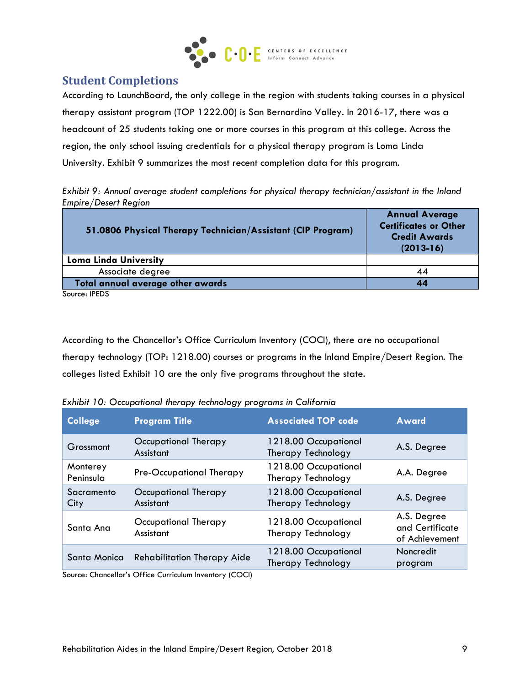

## **Student Completions**

According to LaunchBoard, the only college in the region with students taking courses in a physical therapy assistant program (TOP 1222.00) is San Bernardino Valley. In 2016-17, there was a headcount of 25 students taking one or more courses in this program at this college. Across the region, the only school issuing credentials for a physical therapy program is Loma Linda University. Exhibit 9 summarizes the most recent completion data for this program.

*Exhibit 9: Annual average student completions for physical therapy technician/assistant in the Inland Empire/Desert Region*

| 51.0806 Physical Therapy Technician/Assistant (CIP Program) | <b>Annual Average</b><br><b>Certificates or Other</b><br><b>Credit Awards</b><br>$(2013-16)$ |  |
|-------------------------------------------------------------|----------------------------------------------------------------------------------------------|--|
| <b>Loma Linda University</b>                                |                                                                                              |  |
| Associate degree                                            | 44                                                                                           |  |
| Total annual average other awards                           | 44                                                                                           |  |
| Course, IDENC                                               |                                                                                              |  |

Source: IPEDS

According to the Chancellor's Office Curriculum Inventory (COCI), there are no occupational therapy technology (TOP: 1218.00) courses or programs in the Inland Empire/Desert Region. The colleges listed Exhibit 10 are the only five programs throughout the state.

*Exhibit 10: Occupational therapy technology programs in California*

| <b>College</b>         | <b>Program Title</b>                                                                                                                              | <b>Associated TOP code</b>                 | <b>Award</b>                                     |
|------------------------|---------------------------------------------------------------------------------------------------------------------------------------------------|--------------------------------------------|--------------------------------------------------|
| Grossmont              | Occupational Therapy<br>Assistant                                                                                                                 | 1218.00 Occupational<br>Therapy Technology | A.S. Degree                                      |
| Monterey<br>Peninsula  | Pre-Occupational Therapy                                                                                                                          | 1218.00 Occupational<br>Therapy Technology | A.A. Degree                                      |
| Sacramento<br>City     | Occupational Therapy<br>Assistant                                                                                                                 | 1218.00 Occupational<br>Therapy Technology | A.S. Degree                                      |
| Santa Ana              | Occupational Therapy<br>Assistant                                                                                                                 | 1218.00 Occupational<br>Therapy Technology | A.S. Degree<br>and Certificate<br>of Achievement |
| Santa Monica<br>$\sim$ | <b>Rehabilitation Therapy Aide</b><br>$\mathbf{u}$ , and $\mathbf{v}$ , $\mathbf{v}$ , $\mathbf{v}$ , $\mathbf{v}$<br>$\sim$ $\sim$ $\sim$ $\sim$ | 1218.00 Occupational<br>Therapy Technology | Noncredit<br>program                             |

Source: Chancellor's Office Curriculum Inventory (COCI)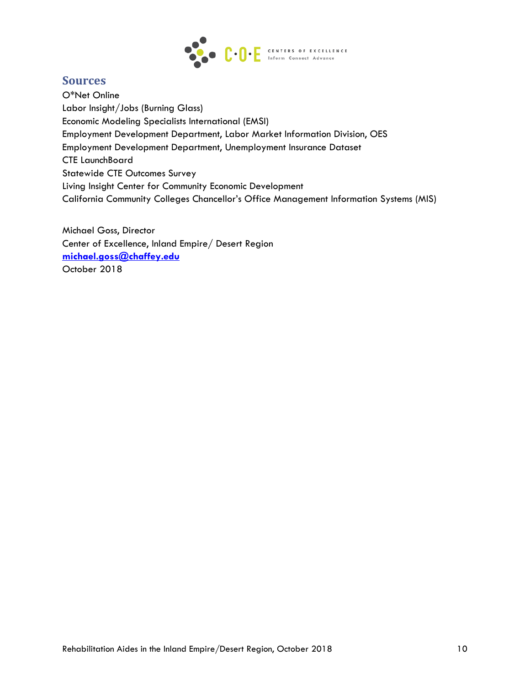

## **Sources**

O\*Net Online Labor Insight/Jobs (Burning Glass) Economic Modeling Specialists International (EMSI) Employment Development Department, Labor Market Information Division, OES Employment Development Department, Unemployment Insurance Dataset CTE LaunchBoard Statewide CTE Outcomes Survey Living Insight Center for Community Economic Development California Community Colleges Chancellor's Office Management Information Systems (MIS)

Michael Goss, Director Center of Excellence, Inland Empire/ Desert Region **[michael.goss@chaffey.edu](mailto:michael.goss@chaffey.edu)** October 2018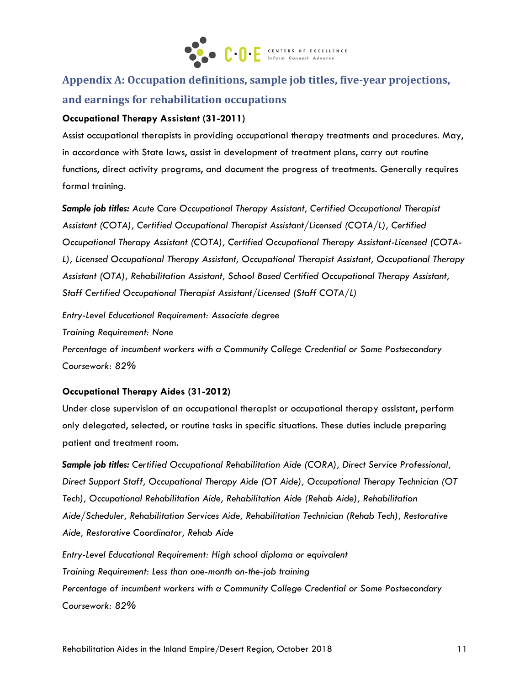

# **Appendix A: Occupation definitions, sample job titles, five-year projections, and earnings for rehabilitation occupations**

#### **Occupational Therapy Assistant (31-2011)**

Assist occupational therapists in providing occupational therapy treatments and procedures. May, in accordance with State laws, assist in development of treatment plans, carry out routine functions, direct activity programs, and document the progress of treatments. Generally requires formal training.

*Sample job titles: Acute Care Occupational Therapy Assistant, Certified Occupational Therapist Assistant (COTA), Certified Occupational Therapist Assistant/Licensed (COTA/L), Certified Occupational Therapy Assistant (COTA), Certified Occupational Therapy Assistant-Licensed (COTA-L), Licensed Occupational Therapy Assistant, Occupational Therapist Assistant, Occupational Therapy Assistant (OTA), Rehabilitation Assistant, School Based Certified Occupational Therapy Assistant, Staff Certified Occupational Therapist Assistant/Licensed (Staff COTA/L)*

*Entry-Level Educational Requirement: Associate degree*

*Training Requirement: None*

*Percentage of incumbent workers with a Community College Credential or Some Postsecondary Coursework: 82%*

#### **Occupational Therapy Aides (31-2012)**

Under close supervision of an occupational therapist or occupational therapy assistant, perform only delegated, selected, or routine tasks in specific situations. These duties include preparing patient and treatment room.

*Sample job titles: Certified Occupational Rehabilitation Aide (CORA), Direct Service Professional, Direct Support Staff, Occupational Therapy Aide (OT Aide), Occupational Therapy Technician (OT Tech), Occupational Rehabilitation Aide, Rehabilitation Aide (Rehab Aide), Rehabilitation Aide/Scheduler, Rehabilitation Services Aide, Rehabilitation Technician (Rehab Tech), Restorative Aide, Restorative Coordinator, Rehab Aide*

*Entry-Level Educational Requirement: High school diploma or equivalent Training Requirement: Less than one-month on-the-job training Percentage of incumbent workers with a Community College Credential or Some Postsecondary Coursework: 82%*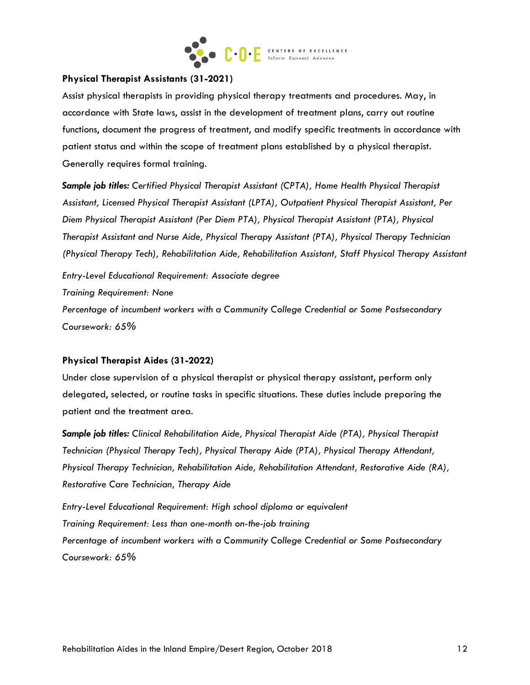

#### **Physical Therapist Assistants (31-2021)**

Assist physical therapists in providing physical therapy treatments and procedures. May, in accordance with State laws, assist in the development of treatment plans, carry out routine functions, document the progress of treatment, and modify specific treatments in accordance with patient status and within the scope of treatment plans established by a physical therapist. Generally requires formal training.

*Sample job titles: Certified Physical Therapist Assistant (CPTA), Home Health Physical Therapist Assistant, Licensed Physical Therapist Assistant (LPTA), Outpatient Physical Therapist Assistant, Per Diem Physical Therapist Assistant (Per Diem PTA), Physical Therapist Assistant (PTA), Physical Therapist Assistant and Nurse Aide, Physical Therapy Assistant (PTA), Physical Therapy Technician (Physical Therapy Tech), Rehabilitation Aide, Rehabilitation Assistant, Staff Physical Therapy Assistant*

*Entry-Level Educational Requirement: Associate degree Training Requirement: None*

*Percentage of incumbent workers with a Community College Credential or Some Postsecondary Coursework: 65%*

### **Physical Therapist Aides (31-2022)**

Under close supervision of a physical therapist or physical therapy assistant, perform only delegated, selected, or routine tasks in specific situations. These duties include preparing the patient and the treatment area.

*Sample job titles: Clinical Rehabilitation Aide, Physical Therapist Aide (PTA), Physical Therapist Technician (Physical Therapy Tech), Physical Therapy Aide (PTA), Physical Therapy Attendant, Physical Therapy Technician, Rehabilitation Aide, Rehabilitation Attendant, Restorative Aide (RA), Restorative Care Technician, Therapy Aide*

*Entry-Level Educational Requirement: High school diploma or equivalent Training Requirement: Less than one-month on-the-job training Percentage of incumbent workers with a Community College Credential or Some Postsecondary Coursework: 65%*